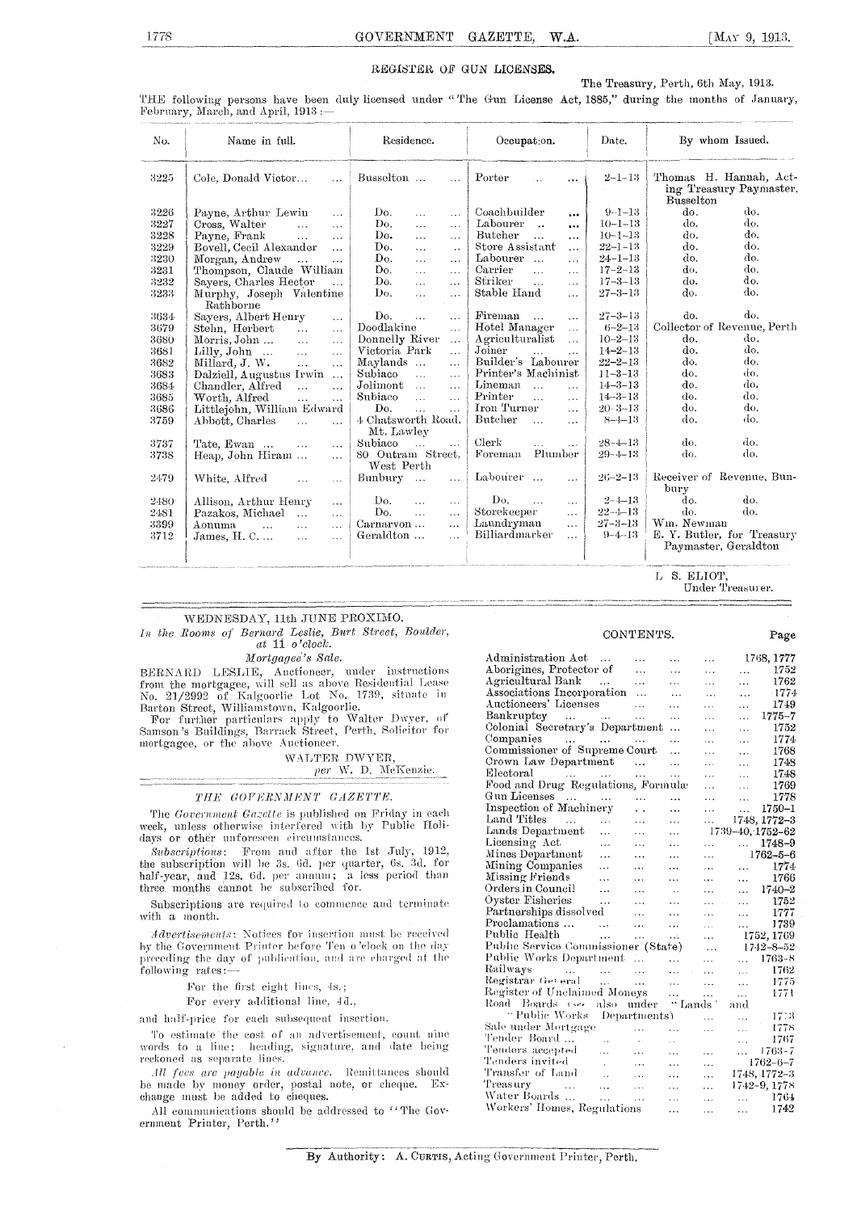#### REGISTER OF GUN LICENSES.

The Treasury, Perth, 6th May, 1913.

THE following persons have been duly licensed under "The Gun License Act, 1885," during the months of January, Fehrtiary, March, and April, 1913 :—

| No.  | Name in full.                                                   | Residence.                                 | Occupation.                                    | Date.         | By whom Issued.                                                |  |
|------|-----------------------------------------------------------------|--------------------------------------------|------------------------------------------------|---------------|----------------------------------------------------------------|--|
| 3225 | Cole, Donald Victor<br>$\ddotsc$                                | Busselton<br>$\cdots$                      | Porter<br>$\cdots$                             | $2 - 1 - 13$  | Thomas H. Hannah, Act-<br>ing Treasury Paymaster,<br>Busselton |  |
| 3226 | Payne, Arthur Lewin<br>$\ddotsc$                                | Do.<br>$\ddotsc$<br>$\ldots$               | Coachbuilder<br>$\cdots$                       | $9 - 1 - 13$  | do.<br>do.                                                     |  |
| 3227 | Cross, Walter<br>$\sim$ $\sim$ $\sim$ $\sim$ $\sim$<br>$\cdots$ | Do.<br>$\ddotsc$<br>$\ddotsc$              | Labourer<br>$\ddot{\phantom{a}}$<br>$\cdots$   | $10 - 1 - 13$ | do.<br>do.                                                     |  |
| 3228 | Payne, Frank<br><b>Contractor</b><br>$\cdots$                   | Do.<br>$\cdots$<br>$\cdots$                | Butcher<br>$\ddot{\phantom{a}}$<br>$\cdots$    | $10 - 1 - 13$ | do.<br>do.                                                     |  |
| 3229 | Bovell, Cecil Alexander<br>$\cdots$                             | Do.<br>$\ddotsc$<br>$\sim$                 | Store Assistant<br>$\cdots$                    | $22 - 1 - 13$ | do.<br>do.                                                     |  |
| 3230 | Morgan, Andrew<br>$\ldots$                                      | Do.<br>$\ddotsc$<br>$\cdots$               | Labourer<br>$\mathbf{r}$<br>$\cdots$           | $24 - 1 - 13$ | do.<br>do.                                                     |  |
| 3231 | Thompson, Claude William                                        | Do.<br>$\ddotsc$<br>$\ddotsc$              | Carrier<br>$\ddotsc$<br>$\cdots$               | $17 - 2 - 13$ | do.<br>do.                                                     |  |
| 3232 | Sayers, Charles Hector<br>$\ddotsc$                             | Do.<br>$\sim$ .<br>$\ddotsc$               | Striker<br>$\cdots$<br>$\cdots$                | $17 - 3 - 13$ | do.<br>do.                                                     |  |
| 3233 | Murphy, Joseph Valentine<br>Rathborne                           | Do.<br>$\dddot{\phantom{0}}$<br>$\cdots$   | Stable Hand<br>$\ddotsc$                       | $27 - 3 - 13$ | do.<br>do.                                                     |  |
| 3634 | Sayers, Albert Henry<br>$\cdots$                                | Do.<br>$\ddotsc$<br>$\ddotsc$              | Fireman<br>$\mathbf{r}$<br>$\ddotsc$           | $27 - 3 - 13$ | do.<br>do.                                                     |  |
| 3679 | Stehn, Herbert<br>$\ddotsc$<br>$\ldots$                         | Doodlakine<br>$\ldots$                     | Hotel Manager<br>$\ddotsc$                     | $6 - 2 - 13$  | Collector of Revenue, Perth                                    |  |
| 3680 | Morris, John<br>$\sim 10^{-1}$<br>$\cdots$                      | Donnelly River<br>$\ddotsc$                | Agriculturalist<br>$\mathbf{r}$                | $10 - 2 - 13$ | do.<br>do.                                                     |  |
| 3681 | Lilly, John<br>$\mathbf{1}$<br>$\ddotsc$                        | Victoria Park<br>$\ddotsc$                 | Joiner<br>$\mathbf{1}$<br>$\sim$ $\sim$ $\sim$ | $14 - 2 - 13$ | do.<br>do.                                                     |  |
| 3682 | Millard, J. W.<br>$\ddotsc$<br>$\cdots$                         | Maylands<br>$\ddotsc$                      | Builder's Labourer                             | $22 - 2 - 13$ | do.<br>do.                                                     |  |
| 3683 | Dalziell, Augustus Irwin<br>$\ldots$                            | Subiaco<br>$\sim$ .<br>$\sim 10$           | Printer's Machinist                            | $11 - 3 - 13$ | do.<br>do.                                                     |  |
| 3684 | Chandler, Alfred<br>$\ddotsc$<br>$\ddotsc$                      | Jolimont<br>$\sim$<br>$\ddot{\phantom{a}}$ | Lineman<br>$\ddotsc$<br>$\sim$ $\sim$          | $14 - 3 - 13$ | do.<br>do.                                                     |  |
| 3685 | Worth, Alfred<br>$\ddotsc$<br>$\ddotsc$                         | Subiaco<br>$\mathbf{r}$ .<br>$\ldots$      | Printer<br>$\mathbf{a}$<br>$\cdots$            | $14 - 3 - 13$ | do.<br>do.                                                     |  |
| 3686 | Littlejohn, William Edward                                      | Do.<br>$\ddotsc$<br>$\ddotsc$              | Iron Turner<br>$\mathbf{r}$                    | $20 - 3 - 13$ | do.<br>do.                                                     |  |
| 3759 | Abbott, Charles<br>$\ddotsc$<br>$\ddotsc$                       | 4 Chatsworth Road,<br>Mt. Lawley           | Butcher<br>$\mathbf{r}$<br>$\ddotsc$           | $8 - 4 - 13$  | do.<br>do.                                                     |  |
| 3737 | Tate, Ewan<br>$\sim 10$<br>$\cdots$                             | Subiaco<br>$\sim$<br>$\cdots$              | Clerk<br>$\ddotsc$<br>$\cdots$                 | $28 - 4 - 13$ | do.<br>do.                                                     |  |
| 3738 | Heap, John Hiram<br>$\sim$ .                                    | 80 Outram Street,<br>West Perth            | Plumber<br>Foreman                             | $29 - 4 - 13$ | do.<br>do.                                                     |  |
| 2479 | White, Alfred<br>$\ddotsc$<br>$\cdots$                          | $Bumbury \dots$<br>$\ldots$                | Labourer<br>$\ddotsc$                          | $26 - 2 - 13$ | Receiver of Revenue, Bun-<br>bury                              |  |
| 2480 | Allison, Arthur Henry<br>$\cdots$                               | Do.<br>$\cdots$<br>$\ddotsc$               | Do.<br>$\ddots$<br>$\cdots$                    | $2 - 4 - 13$  | do.<br>do.                                                     |  |
| 2481 | Pazakos, Michael<br>$\mathbf{A}$<br>$\sim$ .                    | Do.<br>$\cdots$<br>$\ddotsc$               | Storekeeper<br>$\cdots$                        | $22 - 4 - 13$ | do.<br>do.                                                     |  |
| 3399 | Aonuma<br>$\mathbf{r}$<br>$\ddotsc$<br>$\cdots$                 | Carnarvon<br>                              | Laundryman<br>$\cdots$                         | $27 - 3 - 13$ | Wm. Newman                                                     |  |
| 3712 | James, $H, C, \ldots$<br>$\sim$ .<br>$\ddotsc$                  | Geraldton<br>$\ddot{\phantom{a}}$          | Billiardmarker<br>$\cdots$                     | $9 - 4 - 13$  | E. Y. Butler, for Treasury                                     |  |
|      |                                                                 |                                            |                                                |               | Paymaster, Geraldton                                           |  |
|      |                                                                 |                                            |                                                |               |                                                                |  |

S. ELIOT, Under Treasurer.

#### WEDNESDAY, 11th JUNE PROXIMO.

*In the Booms of Bernard Leslie, Burt Street, Boulder, at 11 o'clock.* 

#### *Mortgagee's Sale.*

BERNARD LESLIE, Anetioneer, under instructions from the mortgagee, will sell as above, No. 21/2992 of Kalgoorlie Lot No. 1739, situate in Barton Street, Williamstown, Kalgoorlie.<br>For further particulars apply to Walter Dwyer,

Samson's Buildings, Barrack Street, Perth, Solicitor for mortgagee, or the above Auctioneer.

#### WALTER DWYER, per W. D. McKenzie.

#### THE GOVERNMENT GAZETTE.

The Government Gazette is published on Friday in each week, unless otherwise interfered with by Public Holidays or other unforeseen circumstances.

Subscriptions: From and after the 1st July, 1912, the subscription will be 3s. 6d. per quarter, 6s. 3d. for half-year, and 12s. 6d. per annum; a less period than three months cannot he subscribed for.

Subscriptions are required to commence and terminate with a month.

Advertisements: Notices for insertion must be received by the Government Printer before Ten o 'clock on the day preceding the day of publication, and are charged at the following rates:

For the first eight lines, 4s.;

For every additional line, 44.,

and half-price for each subsequent insertion.

To estimate the cost of an advertisement, count nine words to a line; heading, signature, and date being heading, signature, and date being reckoned as separate

.1*U* fees are payable in advance. Remittances should be made by money order, postal note, or cheque. Exchange must be added to cheques.

All communications should be addressed to "The Government Printer, Perth."

#### CONTENTS.

Page

| Administration Act                  | $\sim$               | $\ddotsc$    | .                    | .         |                      | 1768, 1777       |
|-------------------------------------|----------------------|--------------|----------------------|-----------|----------------------|------------------|
| Aborigines, Protector of            |                      | .            | .                    | $\cdots$  | $\cdots$             | 1752             |
| Agricultural Bank                   |                      | .            | .                    | $\cdots$  | .                    | 1762             |
| Associations Incorporation          |                      | .            | .                    | $\cdots$  | $\ddotsc$            | -1774            |
| Auctioneers' Licenses               |                      | .            | .                    | .         | .                    | 1749             |
| Bankruptcy<br>$\ddotsc$             |                      | $\ddotsc$    | .                    | $\ddotsc$ | $\ddotsc$            | 1775–7           |
| Colonial Secretary's Department     |                      |              | .                    | .         | .                    | 1752             |
| Companies<br>saar in saar           |                      | .            | .                    |           | $\cdots$             | 1774             |
| Commissioner of Supreme Court       |                      |              | .                    | .         | $\cdots$             | 1768             |
| Crown Law Department                |                      | $\ddotsc$    | .                    | $\cdots$  | .                    | 1748             |
| Electoral<br>العقفات المقفات المنا  |                      | .            | $\ddotsc$            | $\ddotsc$ | $\ddotsc$            | 1748             |
| Food and Drug Regulations, Formulæ  |                      |              |                      | $\cdots$  | .                    | 1769             |
| Gun Licenses<br>$\cdots$            | $\cdots$             | .            | .                    | $\ddotsc$ | .                    | 1778             |
| Inspection of Machinery             |                      | . .          | $\ddotsc$            | $\cdots$  |                      | 1750-1           |
| Land Titles<br>$\sim$ .             | $\ddotsc$            | .            | .                    | $\ddotsc$ |                      | 1748, 1772–3     |
| Lands Department                    | .                    | .            | $\ddotsc$            |           |                      | 1739–40, 1752–62 |
| Licensing Act                       | .                    | $\ddotsc$    | .                    | .         | $\cdots$             | 1748-9           |
| Mines Department                    | .                    | .            | $\ddotsc$            | $\ddotsc$ |                      | 1762–5–6         |
| Mining Companies                    | $\cdots$             | $\ddotsc$    | $\ddotsc$            | $\cdots$  | .                    | 1774             |
| Missing Friends                     | $\ddotsc$            | $\cdots$     | .                    | .         | $\ddotsc$            | 1766             |
| Orders.in.Council                   | .                    | .            | $\ddot{\phantom{0}}$ | .         | $\ddot{\phantom{a}}$ | 1740-2           |
| Oyster Fisheries.                   | .                    | $\cdots$     | $\ddot{\phantom{a}}$ |           | $\cdots$             | 1752             |
| Partnerships dissolved              |                      | .            | .                    | .         | $\cdots$             | 1777             |
| Proclamations                       | $\cdots$             | $\ddotsc$    | .                    | $\cdots$  | .                    | 1739             |
| Public Health                       | $\ddotsc$            | $\cdots$     | .                    | $\cdots$  |                      | 1752, 1769       |
| Public Service Commissioner (State) |                      |              |                      | $\ddotsc$ |                      | 1742-8-52        |
| Public Works Department             |                      | Ξ.           | .                    | $\cdots$  | $\ddotsc$            | 1763-8           |
| Railways<br>$\cdots$                | $\ddotsc$            | $\cdots$     | $\cdots$             | $\cdots$  | $\ddot{\phantom{a}}$ | 1762             |
| Registrar Geteral                   | $\ddotsc$            | .            | .                    | $\cdots$  | $\ddotsc$            | 1775             |
| Register of Unclaimed Moneys        |                      |              | .                    | $\ddotsc$ | .                    | 1771             |
| Road<br>- Boards (see               | also                 | under        | "Lands               |           | and                  |                  |
| <sup></sup> Public Works            |                      | Departments) |                      | $\ddotsc$ | $\cdots$             | 1773             |
| Sale under Mortgage                 |                      |              | .                    | .         | $\ddotsc$            | 1778             |
| Tender Board                        | v.                   | $\sim$       | с.                   |           | $\cdots$             | 1767             |
| Tenders accepted                    | .                    | $\cdots$     | $\cdots$             | .         |                      | 1763-7           |
| Tenders invited                     | ä.                   | $\cdots$     | .                    | .         |                      | $1762 - 6 - 7$   |
| Transfer of Land                    | $\ddot{\phantom{0}}$ |              |                      | $\cdots$  |                      | 1748, 1772-3     |
| 'Freas ury<br>$\ddotsc$             | $\cdots$             | $\cdots$     | $\cdots$             | $\ddotsc$ |                      | 1742-9, 1778     |
| Water Boards                        | .                    | $\cdots$     | $\cdots$             | .         | $\ddotsc$            | 1764             |
| Workers' Homes, Regulations         |                      |              | .                    | .         | .                    | 1742             |
|                                     |                      |              |                      |           |                      |                  |